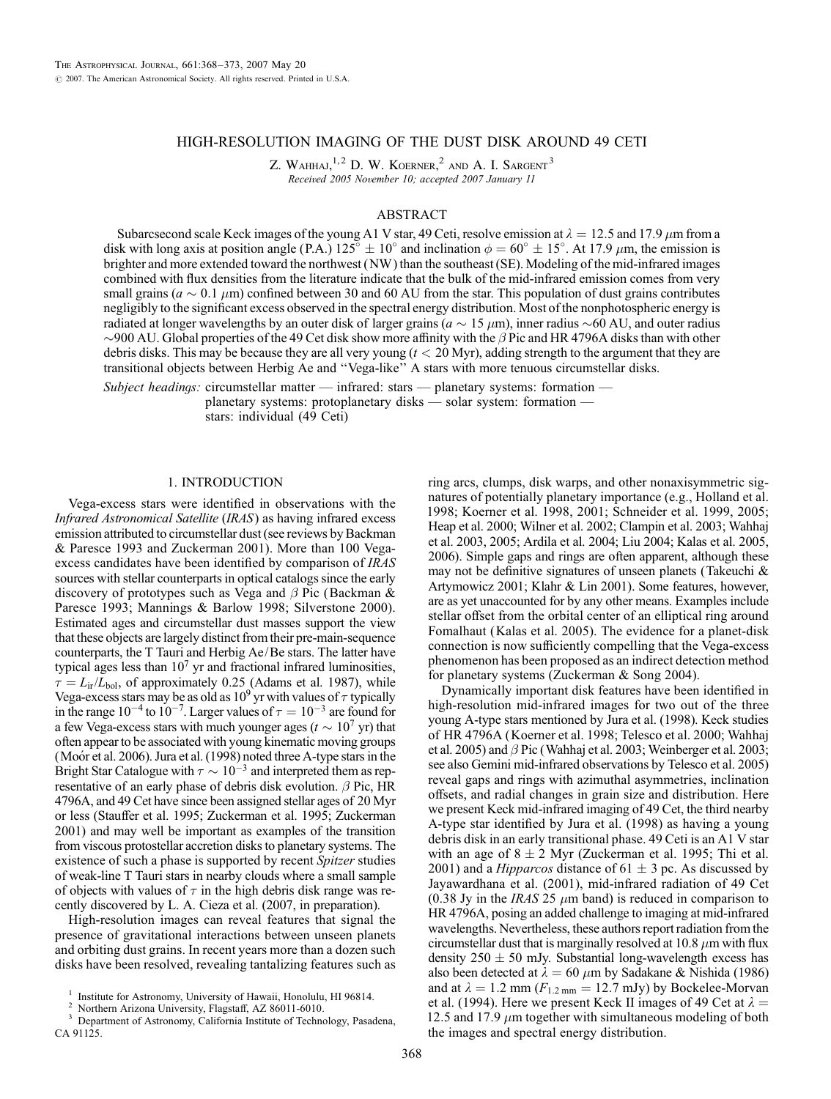# HIGH-RESOLUTION IMAGING OF THE DUST DISK AROUND 49 CETI

Z. WAHHAJ,  $1, 2$  D. W. KOERNER,  $2$  and A. I. Sargent<sup>3</sup> Received 2005 November 10; accepted 2007 January 11

#### ABSTRACT

Subarcsecond scale Keck images of the young A1 V star, 49 Ceti, resolve emission at  $\lambda = 12.5$  and 17.9  $\mu$ m from a disk with long axis at position angle (P.A.)  $125^\circ \pm 10^\circ$  and inclination  $\phi = 60^\circ \pm 15^\circ$ . At 17.9  $\mu$ m, the emission is brighter and more extended toward the northwest (NW ) than the southeast (SE). Modeling of the mid-infrared images combined with flux densities from the literature indicate that the bulk of the mid-infrared emission comes from very small grains ( $a \sim 0.1 \ \mu m$ ) confined between 30 and 60 AU from the star. This population of dust grains contributes negligibly to the significant excess observed in the spectral energy distribution. Most of the nonphotospheric energy is radiated at longer wavelengths by an outer disk of larger grains ( $a \sim 15 \,\mu m$ ), inner radius ~60 AU, and outer radius  $\sim$ 900 AU. Global properties of the 49 Cet disk show more affinity with the  $\beta$  Pic and HR 4796A disks than with other debris disks. This may be because they are all very young  $(t < 20$  Myr), adding strength to the argument that they are transitional objects between Herbig Ae and ''Vega-like'' A stars with more tenuous circumstellar disks.

Subject headings: circumstellar matter — infrared: stars — planetary systems: formation planetary systems: protoplanetary disks — solar system: formation stars: individual (49 Ceti)

## 1. INTRODUCTION

Vega-excess stars were identified in observations with the Infrared Astronomical Satellite (IRAS) as having infrared excess emission attributed to circumstellar dust (see reviews by Backman & Paresce 1993 and Zuckerman 2001). More than 100 Vegaexcess candidates have been identified by comparison of IRAS sources with stellar counterparts in optical catalogs since the early discovery of prototypes such as Vega and  $\beta$  Pic (Backman & Paresce 1993; Mannings & Barlow 1998; Silverstone 2000). Estimated ages and circumstellar dust masses support the view that these objects are largely distinct from their pre-main-sequence counterparts, the T Tauri and Herbig Ae/Be stars. The latter have typical ages less than  $10<sup>7</sup>$  yr and fractional infrared luminosities,  $\tau = L_{ir}/L_{bol}$ , of approximately 0.25 (Adams et al. 1987), while Vega-excess stars may be as old as  $10^9$  yr with values of  $\tau$  typically in the range  $10^{-4}$  to  $10^{-7}$ . Larger values of  $\tau = 10^{-3}$  are found for a few Vega-excess stars with much younger ages ( $t \sim 10^7$  yr) that often appear to be associated with young kinematic moving groups (Moor et al. 2006). Jura et al. (1998) noted three A-type stars in the Bright Star Catalogue with  $\tau \sim 10^{-3}$  and interpreted them as representative of an early phase of debris disk evolution.  $\beta$  Pic, HR 4796A, and 49 Cet have since been assigned stellar ages of 20 Myr or less (Stauffer et al. 1995; Zuckerman et al. 1995; Zuckerman 2001) and may well be important as examples of the transition from viscous protostellar accretion disks to planetary systems. The existence of such a phase is supported by recent Spitzer studies of weak-line T Tauri stars in nearby clouds where a small sample of objects with values of  $\tau$  in the high debris disk range was recently discovered by L. A. Cieza et al. (2007, in preparation).

High-resolution images can reveal features that signal the presence of gravitational interactions between unseen planets and orbiting dust grains. In recent years more than a dozen such disks have been resolved, revealing tantalizing features such as

ring arcs, clumps, disk warps, and other nonaxisymmetric signatures of potentially planetary importance (e.g., Holland et al. 1998; Koerner et al. 1998, 2001; Schneider et al. 1999, 2005; Heap et al. 2000; Wilner et al. 2002; Clampin et al. 2003; Wahhaj et al. 2003, 2005; Ardila et al. 2004; Liu 2004; Kalas et al. 2005, 2006). Simple gaps and rings are often apparent, although these may not be definitive signatures of unseen planets (Takeuchi & Artymowicz 2001; Klahr & Lin 2001). Some features, however, are as yet unaccounted for by any other means. Examples include stellar offset from the orbital center of an elliptical ring around Fomalhaut (Kalas et al. 2005). The evidence for a planet-disk connection is now sufficiently compelling that the Vega-excess phenomenon has been proposed as an indirect detection method for planetary systems (Zuckerman & Song 2004).

Dynamically important disk features have been identified in high-resolution mid-infrared images for two out of the three young A-type stars mentioned by Jura et al. (1998). Keck studies of HR 4796A (Koerner et al. 1998; Telesco et al. 2000; Wahhaj et al. 2005) and  $\beta$  Pic (Wahhaj et al. 2003; Weinberger et al. 2003; see also Gemini mid-infrared observations by Telesco et al. 2005) reveal gaps and rings with azimuthal asymmetries, inclination offsets, and radial changes in grain size and distribution. Here we present Keck mid-infrared imaging of 49 Cet, the third nearby A-type star identified by Jura et al. (1998) as having a young debris disk in an early transitional phase. 49 Ceti is an A1 V star with an age of  $8 \pm 2$  Myr (Zuckerman et al. 1995; Thi et al. 2001) and a *Hipparcos* distance of  $61 \pm 3$  pc. As discussed by Jayawardhana et al. (2001), mid-infrared radiation of 49 Cet (0.38 Jy in the IRAS 25  $\mu$ m band) is reduced in comparison to HR 4796A, posing an added challenge to imaging at mid-infrared wavelengths. Nevertheless, these authors report radiation from the circumstellar dust that is marginally resolved at 10.8  $\mu$ m with flux density  $250 \pm 50$  mJy. Substantial long-wavelength excess has also been detected at  $\lambda = 60 \ \mu m$  by Sadakane & Nishida (1986) and at  $\lambda = 1.2$  mm ( $F_{1.2 \text{ mm}} = 12.7$  mJy) by Bockelee-Morvan et al. (1994). Here we present Keck II images of 49 Cet at  $\lambda =$ 12.5 and 17.9  $\mu$ m together with simultaneous modeling of both the images and spectral energy distribution.

<sup>&</sup>lt;sup>1</sup> Institute for Astronomy, University of Hawaii, Honolulu, HI 96814.<br><sup>2</sup> Northern Arizona University, Flagstaff, AZ 86011-6010.<br><sup>3</sup> Department of Astronomy, California Institute of Technology, Pasadena, CA 91125.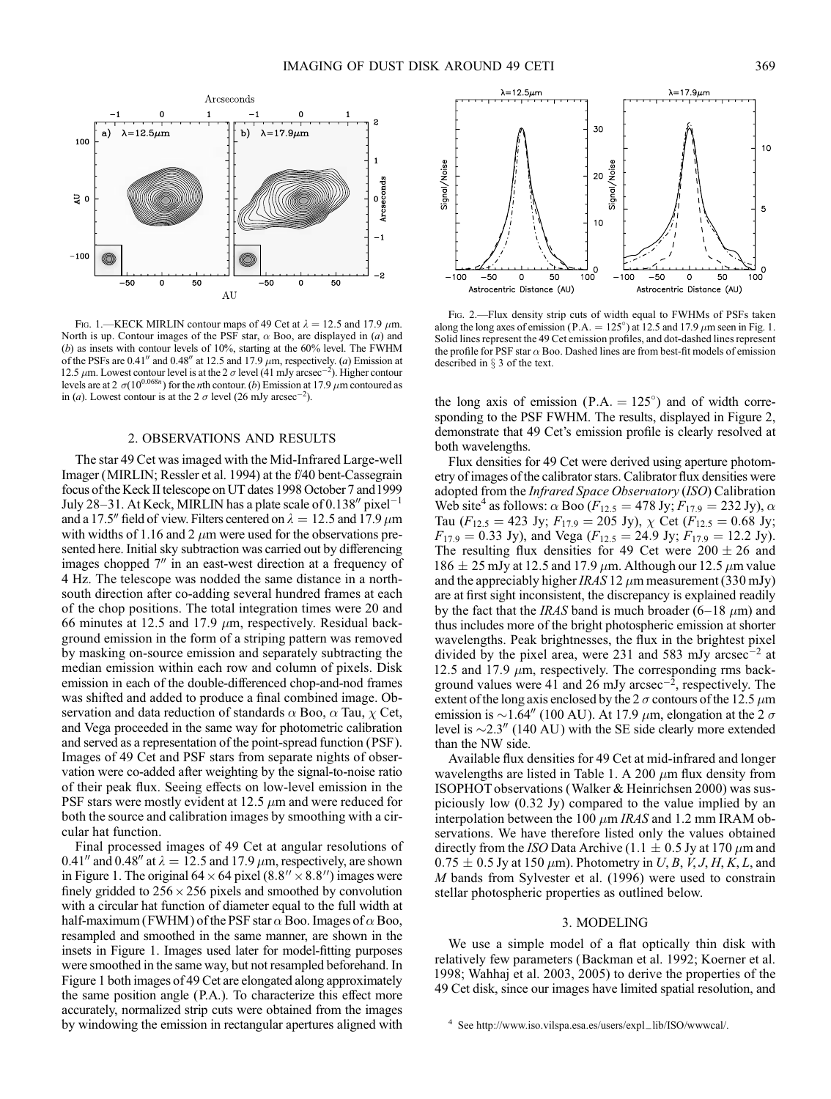

FIG. 1.—KECK MIRLIN contour maps of 49 Cet at  $\lambda = 12.5$  and 17.9  $\mu$ m. North is up. Contour images of the PSF star,  $\alpha$  Boo, are displayed in (a) and (b) as insets with contour levels of 10%, starting at the 60% level. The FWHM of the PSFs are 0.41" and 0.48" at 12.5 and 17.9  $\mu$ m, respectively. (a) Emission at 12.5  $\mu$ m. Lowest contour level is at the 2  $\sigma$  level (41 mJy arcsec<sup>-2</sup>). Higher contour levels are at 2  $\sigma(10^{0.068n})$  for the *n*th contour. (b) Emission at 17.9  $\mu$ m contoured as in (*a*). Lowest contour is at the 2  $\sigma$  level (26 mJy arcsec<sup>-2</sup>).

#### 2. OBSERVATIONS AND RESULTS

The star 49 Cet was imaged with the Mid-Infrared Large-well Imager (MIRLIN; Ressler et al. 1994) at the f/40 bent-Cassegrain focus of the Keck II telescope on UT dates 1998 October 7 and1999 July 28-31. At Keck, MIRLIN has a plate scale of 0.138" pixel<sup>-1</sup> and a 17.5" field of view. Filters centered on  $\lambda = 12.5$  and 17.9  $\mu$ m with widths of 1.16 and 2  $\mu$ m were used for the observations presented here. Initial sky subtraction was carried out by differencing images chopped  $7<sup>′</sup>$  in an east-west direction at a frequency of 4 Hz. The telescope was nodded the same distance in a northsouth direction after co-adding several hundred frames at each of the chop positions. The total integration times were 20 and 66 minutes at 12.5 and 17.9  $\mu$ m, respectively. Residual background emission in the form of a striping pattern was removed by masking on-source emission and separately subtracting the median emission within each row and column of pixels. Disk emission in each of the double-differenced chop-and-nod frames was shifted and added to produce a final combined image. Observation and data reduction of standards  $\alpha$  Boo,  $\alpha$  Tau,  $\chi$  Cet, and Vega proceeded in the same way for photometric calibration and served as a representation of the point-spread function (PSF). Images of 49 Cet and PSF stars from separate nights of observation were co-added after weighting by the signal-to-noise ratio of their peak flux. Seeing effects on low-level emission in the PSF stars were mostly evident at 12.5  $\mu$ m and were reduced for both the source and calibration images by smoothing with a circular hat function.

Final processed images of 49 Cet at angular resolutions of 0.41" and 0.48" at  $\lambda = 12.5$  and 17.9  $\mu$ m, respectively, are shown in Figure 1. The original 64  $\times$  64 pixel (8.8"  $\times$  8.8") images were finely gridded to  $256 \times 256$  pixels and smoothed by convolution with a circular hat function of diameter equal to the full width at half-maximum (FWHM) of the PSF star  $\alpha$  Boo. Images of  $\alpha$  Boo, resampled and smoothed in the same manner, are shown in the insets in Figure 1. Images used later for model-fitting purposes were smoothed in the same way, but not resampled beforehand. In Figure 1 both images of 49 Cet are elongated along approximately the same position angle (P.A.). To characterize this effect more accurately, normalized strip cuts were obtained from the images by windowing the emission in rectangular apertures aligned with



Fig. 2.—Flux density strip cuts of width equal to FWHMs of PSFs taken along the long axes of emission (P.A. = 125°) at 12.5 and 17.9  $\mu$ m seen in Fig. 1. Solid lines represent the 49 Cet emission profiles, and dot-dashed lines represent the profile for PSF star  $\alpha$  Boo. Dashed lines are from best-fit models of emission described in  $\S$  3 of the text.

the long axis of emission (P.A.  $= 125^{\circ}$ ) and of width corresponding to the PSF FWHM. The results, displayed in Figure 2, demonstrate that 49 Cet's emission profile is clearly resolved at both wavelengths.

Flux densities for 49 Cet were derived using aperture photometry of images of the calibrator stars. Calibrator flux densities were adopted from the Infrared Space Observatory (ISO) Calibration Web site<sup>4</sup> as follows:  $\alpha$  Boo ( $F_{12.5} = 478 \text{ Jy}; F_{17.9} = 232 \text{ Jy}$ ),  $\alpha$ Tau ( $F_{12.5} = 423$  Jy;  $F_{17.9} = 205$  Jy),  $\chi$  Cet ( $F_{12.5} = 0.68$  Jy;  $F_{17.9} = 0.33$  Jy), and Vega ( $F_{12.5} = 24.9$  Jy;  $F_{17.9} = 12.2$  Jy). The resulting flux densities for 49 Cet were  $200 \pm 26$  and 186  $\pm$  25 mJy at 12.5 and 17.9  $\mu$ m. Although our 12.5  $\mu$ m value and the appreciably higher IRAS 12  $\mu$ m measurement (330 mJy) are at first sight inconsistent, the discrepancy is explained readily by the fact that the IRAS band is much broader (6–18  $\mu$ m) and thus includes more of the bright photospheric emission at shorter wavelengths. Peak brightnesses, the flux in the brightest pixel divided by the pixel area, were 231 and 583 mJy arcsec<sup>-2</sup> at 12.5 and 17.9  $\mu$ m, respectively. The corresponding rms background values were 41 and 26 mJy arcsec<sup> $-2$ </sup>, respectively. The extent of the long axis enclosed by the 2  $\sigma$  contours of the 12.5  $\mu$ m emission is  $\sim$ 1.64" (100 AU). At 17.9  $\mu$ m, elongation at the 2  $\sigma$ level is  $\sim$ 2.3" (140 AU) with the SE side clearly more extended than the NW side.

Available flux densities for 49 Cet at mid-infrared and longer wavelengths are listed in Table 1. A 200  $\mu$ m flux density from ISOPHOT observations (Walker & Heinrichsen 2000) was suspiciously low (0.32 Jy) compared to the value implied by an interpolation between the 100  $\mu$ m *IRAS* and 1.2 mm IRAM observations. We have therefore listed only the values obtained directly from the ISO Data Archive (1.1  $\pm$  0.5 Jy at 170  $\mu$ m and  $0.75 \pm 0.5$  Jy at 150  $\mu$ m). Photometry in U, B, V, J, H, K, L, and M bands from Sylvester et al. (1996) were used to constrain stellar photospheric properties as outlined below.

### 3. MODELING

We use a simple model of a flat optically thin disk with relatively few parameters (Backman et al. 1992; Koerner et al. 1998; Wahhaj et al. 2003, 2005) to derive the properties of the 49 Cet disk, since our images have limited spatial resolution, and

See http://www.iso.vilspa.esa.es/users/expl\_lib/ISO/wwwcal/.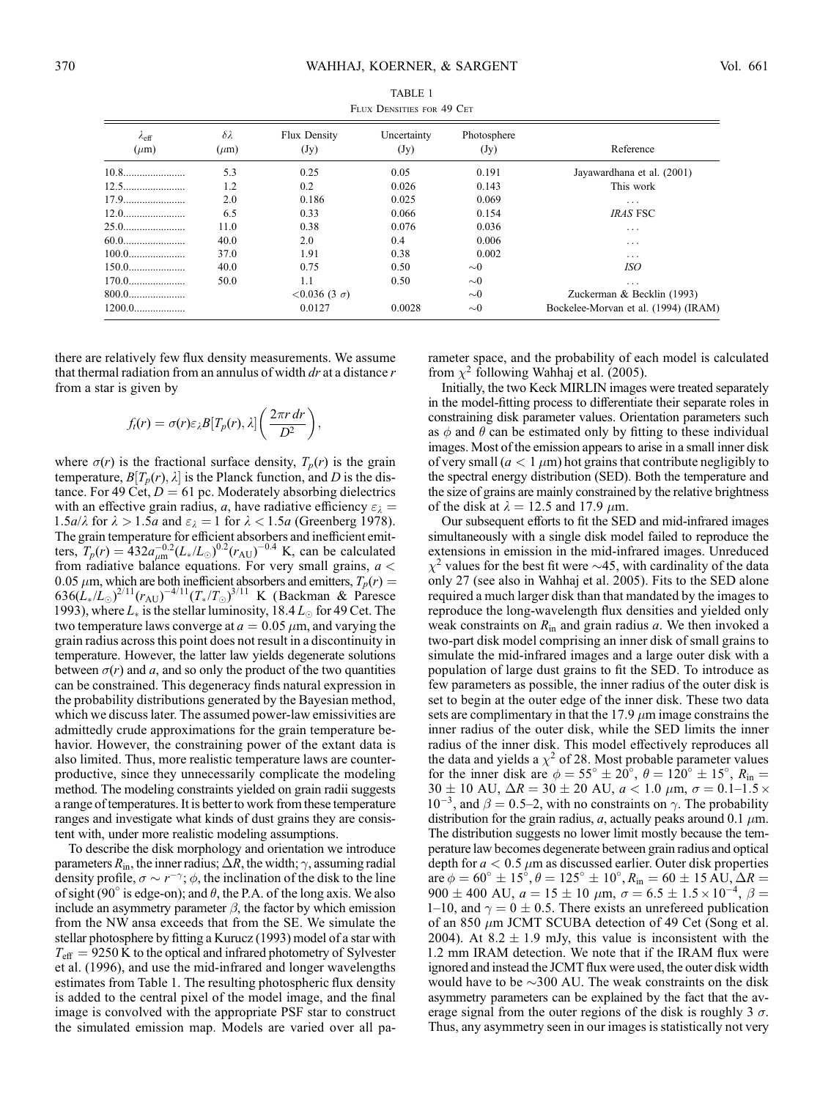| $1.0001$ D DING I DIN TO ULI |                               |                         |                     |                     |                                      |
|------------------------------|-------------------------------|-------------------------|---------------------|---------------------|--------------------------------------|
| $\lambda$ eff<br>$(\mu m)$   | $\delta \lambda$<br>$(\mu m)$ | Flux Density<br>(Jy)    | Uncertainty<br>(Jy) | Photosphere<br>(Jy) | Reference                            |
|                              | 5.3                           | 0.25                    | 0.05                | 0.191               | Jayawardhana et al. (2001)           |
|                              | 1.2                           | 0.2                     | 0.026               | 0.143               | This work                            |
|                              | 2.0                           | 0.186                   | 0.025               | 0.069               | $\cdots$                             |
|                              | 6.5                           | 0.33                    | 0.066               | 0.154               | <b>IRAS FSC</b>                      |
| 25.0                         | 11.0                          | 0.38                    | 0.076               | 0.036               | $\cdots$                             |
| 60.0                         | 40.0                          | 2.0                     | 0.4                 | 0.006               | .                                    |
| $100.0$                      | 37.0                          | 1.91                    | 0.38                | 0.002               | $\cdots$                             |
|                              | 40.0                          | 0.75                    | 0.50                | $\sim 0$            | ISO                                  |
|                              | 50.0                          | 1.1                     | 0.50                | $\sim 0$            | $\cdots$                             |
| $800.0$                      |                               | $< 0.036$ (3 $\sigma$ ) |                     | $\sim 0$            | Zuckerman & Becklin (1993)           |
| $1200.0$                     |                               | 0.0127                  | 0.0028              | $\sim 0$            | Bockelee-Morvan et al. (1994) (IRAM) |

TABLE 1 FLUX DENSITIES FOR 49 CET

there are relatively few flux density measurements. We assume that thermal radiation from an annulus of width  $dr$  at a distance  $r$ from a star is given by

$$
f_l(r) = \sigma(r)\varepsilon_{\lambda}B[T_p(r),\lambda]\left(\frac{2\pi r\,dr}{D^2}\right),
$$

where  $\sigma(r)$  is the fractional surface density,  $T_p(r)$  is the grain temperature,  $B[T_p(r), \lambda]$  is the Planck function, and D is the distance. For 49 Cet,  $D = 61$  pc. Moderately absorbing dielectrics with an effective grain radius, a, have radiative efficiency  $\varepsilon_{\lambda}$  = 1.5a/ $\lambda$  for  $\lambda > 1.5a$  and  $\varepsilon_{\lambda} = 1$  for  $\lambda < 1.5a$  (Greenberg 1978). The grain temperature for efficient absorbers and inefficient emitters,  $T_p(r) = 432 a_{\mu \text{m}}^{-0.2} (L_*/L_{\odot})^{0.2} (r_{\text{AU}})^{-0.4}$  K, can be calculated from radiative balance equations. For very small grains,  $a <$ 0.05  $\mu$ m, which are both inefficient absorbers and emitters,  $T_p(r) =$  $636(\dot{L}_*/\dot{L}_\odot)^{2/11}(r_{\rm AU})^{-4/11}(T_*/T_\odot)^{3/11}$  K (Backman & Paresce 1993), where  $L_*$  is the stellar luminosity, 18.4  $L_{\odot}$  for 49 Cet. The two temperature laws converge at  $a = 0.05 \mu m$ , and varying the grain radius across this point does not result in a discontinuity in temperature. However, the latter law yields degenerate solutions between  $\sigma(r)$  and a, and so only the product of the two quantities can be constrained. This degeneracy finds natural expression in the probability distributions generated by the Bayesian method, which we discuss later. The assumed power-law emissivities are admittedly crude approximations for the grain temperature behavior. However, the constraining power of the extant data is also limited. Thus, more realistic temperature laws are counterproductive, since they unnecessarily complicate the modeling method. The modeling constraints yielded on grain radii suggests a range of temperatures. It is better to work from these temperature ranges and investigate what kinds of dust grains they are consistent with, under more realistic modeling assumptions.

To describe the disk morphology and orientation we introduce parameters  $R_{\text{in}}$ , the inner radius;  $\Delta R$ , the width;  $\gamma$ , assuming radial density profile,  $\sigma \sim r^{-\gamma}$ ;  $\phi$ , the inclination of the disk to the line of sight (90 $^{\circ}$  is edge-on); and  $\theta$ , the P.A. of the long axis. We also include an asymmetry parameter  $\beta$ , the factor by which emission from the NW ansa exceeds that from the SE. We simulate the stellar photosphere by fitting a Kurucz (1993) model of a star with  $T_{\text{eff}}$  = 9250 K to the optical and infrared photometry of Sylvester et al. (1996), and use the mid-infrared and longer wavelengths estimates from Table 1. The resulting photospheric flux density is added to the central pixel of the model image, and the final image is convolved with the appropriate PSF star to construct the simulated emission map. Models are varied over all parameter space, and the probability of each model is calculated from  $\chi^2$  following Wahhaj et al. (2005).

Initially, the two Keck MIRLIN images were treated separately in the model-fitting process to differentiate their separate roles in constraining disk parameter values. Orientation parameters such as  $\phi$  and  $\theta$  can be estimated only by fitting to these individual images. Most of the emission appears to arise in a small inner disk of very small  $(a < 1 \mu m)$  hot grains that contribute negligibly to the spectral energy distribution (SED). Both the temperature and the size of grains are mainly constrained by the relative brightness of the disk at  $\lambda = 12.5$  and 17.9  $\mu$ m.

Our subsequent efforts to fit the SED and mid-infrared images simultaneously with a single disk model failed to reproduce the extensions in emission in the mid-infrared images. Unreduced  $\chi^2$  values for the best fit were  $\sim$ 45, with cardinality of the data only 27 (see also in Wahhaj et al. 2005). Fits to the SED alone required a much larger disk than that mandated by the images to reproduce the long-wavelength flux densities and yielded only weak constraints on  $R_{\text{in}}$  and grain radius a. We then invoked a two-part disk model comprising an inner disk of small grains to simulate the mid-infrared images and a large outer disk with a population of large dust grains to fit the SED. To introduce as few parameters as possible, the inner radius of the outer disk is set to begin at the outer edge of the inner disk. These two data sets are complimentary in that the 17.9  $\mu$ m image constrains the inner radius of the outer disk, while the SED limits the inner radius of the inner disk. This model effectively reproduces all the data and yields a  $\chi^2$  of 28. Most probable parameter values for the inner disk are  $\phi = 55^\circ \pm 20^\circ$ ,  $\theta = 120^\circ \pm 15^\circ$ ,  $R_{\text{in}} =$  $30 \pm 10$  AU,  $\Delta R = 30 \pm 20$  AU,  $a < 1.0$   $\mu$ m,  $\sigma = 0.1 - 1.5 \times$  $10^{-3}$ , and  $\beta = 0.5-2$ , with no constraints on  $\gamma$ . The probability distribution for the grain radius, a, actually peaks around 0.1  $\mu$ m. The distribution suggests no lower limit mostly because the temperature law becomes degenerate between grain radius and optical depth for  $a < 0.5 \mu m$  as discussed earlier. Outer disk properties are  $\phi = 60^\circ \pm 15^\circ, \theta = 125^\circ \pm 10^\circ, R_{\text{in}} = 60 \pm 15 \text{ AU}, \Delta R =$  $900 \pm 400$  AU,  $a = 15 \pm 10$   $\mu$ m,  $\sigma = 6.5 \pm 1.5 \times 10^{-4}$ ,  $\beta =$ 1–10, and  $\gamma = 0 \pm 0.5$ . There exists an unrefereed publication of an 850  $\mu$ m JCMT SCUBA detection of 49 Cet (Song et al. 2004). At  $8.2 \pm 1.9$  mJy, this value is inconsistent with the 1.2 mm IRAM detection. We note that if the IRAM flux were ignored and instead the JCMT flux were used, the outer disk width would have to be  $\sim$ 300 AU. The weak constraints on the disk asymmetry parameters can be explained by the fact that the average signal from the outer regions of the disk is roughly 3  $\sigma$ . Thus, any asymmetry seen in our images is statistically not very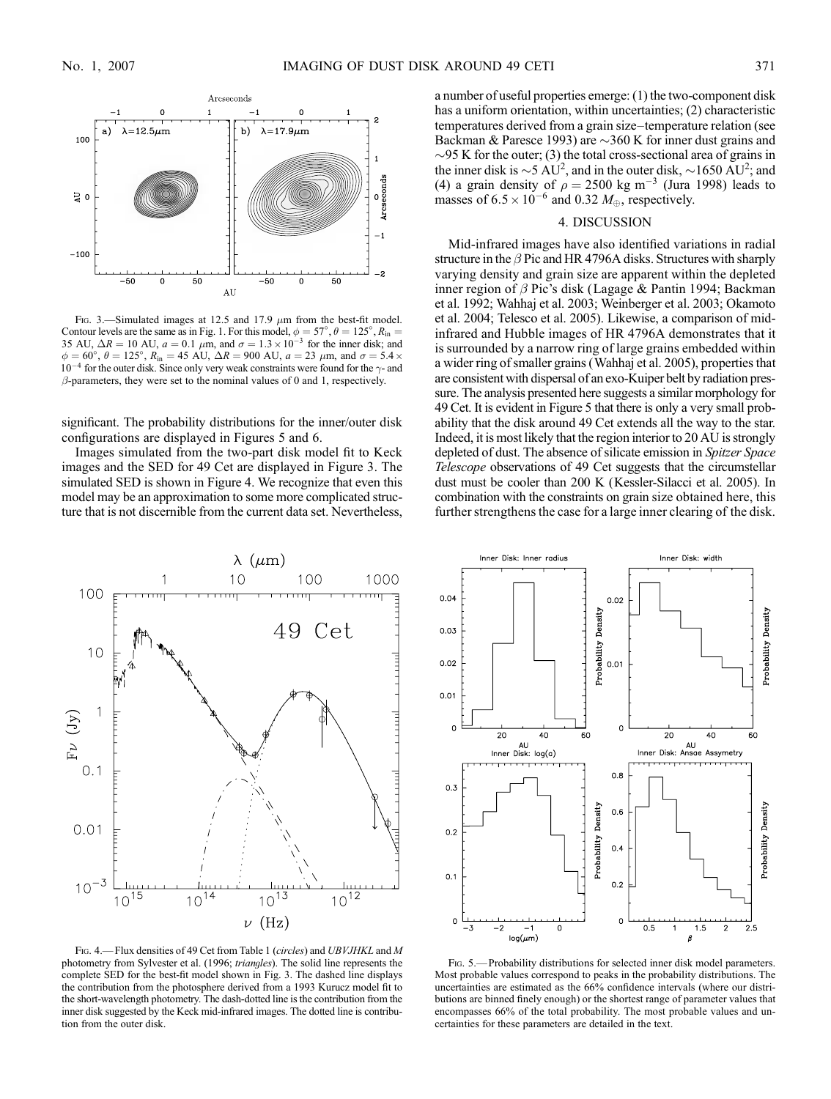

FIG. 3.—Simulated images at 12.5 and 17.9  $\mu$ m from the best-fit model. Contour levels are the same as in Fig. 1. For this model,  $\phi = 57^{\circ}$ ,  $\theta = 125^{\circ}$ ,  $R_{\text{in}} = 35$  AU,  $\Delta R = 10$  AU,  $a = 0.1$   $\mu$ m, and  $\sigma = 1.3 \times 10^{-3}$  for the inner disk; and  $\phi = 60^{\circ}, \ \theta = 125^{\circ}, \ R_{in} = 45 \text{ AU}, \ \Delta R = 900 \text{ AU}, \ a = 23 \ \mu \text{m}, \text{ and } \sigma = 5.4 \times 10^9 \text{ AU}$  $10^{-4}$  for the outer disk. Since only very weak constraints were found for the  $\gamma$ - and  $\beta$ -parameters, they were set to the nominal values of 0 and 1, respectively.

significant. The probability distributions for the inner/outer disk configurations are displayed in Figures 5 and 6.

Images simulated from the two-part disk model fit to Keck images and the SED for 49 Cet are displayed in Figure 3. The simulated SED is shown in Figure 4. We recognize that even this model may be an approximation to some more complicated structure that is not discernible from the current data set. Nevertheless,



FIG. 4. - Flux densities of 49 Cet from Table 1 (circles) and UBVJHKL and M photometry from Sylvester et al. (1996; triangles). The solid line represents the complete SED for the best-fit model shown in Fig. 3. The dashed line displays the contribution from the photosphere derived from a 1993 Kurucz model fit to the short-wavelength photometry. The dash-dotted line is the contribution from the inner disk suggested by the Keck mid-infrared images. The dotted line is contribution from the outer disk.

a number of useful properties emerge: (1) the two-component disk has a uniform orientation, within uncertainties; (2) characteristic temperatures derived from a grain size-temperature relation (see Backman & Paresce 1993) are  $\sim$ 360 K for inner dust grains and  $\sim$ 95 K for the outer; (3) the total cross-sectional area of grains in the inner disk is  $\sim$  5 AU<sup>2</sup>, and in the outer disk,  $\sim$  1650 AU<sup>2</sup>; and (4) a grain density of  $\rho = 2500 \text{ kg m}^{-3}$  (Jura 1998) leads to masses of  $6.5 \times 10^{-6}$  and 0.32  $M_{\oplus}$ , respectively.

#### 4. DISCUSSION

Mid-infrared images have also identified variations in radial structure in the  $\beta$  Pic and HR 4796A disks. Structures with sharply varying density and grain size are apparent within the depleted inner region of  $\beta$  Pic's disk (Lagage & Pantin 1994; Backman et al. 1992; Wahhaj et al. 2003; Weinberger et al. 2003; Okamoto et al. 2004; Telesco et al. 2005). Likewise, a comparison of midinfrared and Hubble images of HR 4796A demonstrates that it is surrounded by a narrow ring of large grains embedded within a wider ring of smaller grains (Wahhaj et al. 2005), properties that are consistent with dispersal of an exo-Kuiper belt by radiation pressure. The analysis presented here suggests a similar morphology for 49 Cet. It is evident in Figure 5 that there is only a very small probability that the disk around 49 Cet extends all the way to the star. Indeed, it is most likely that the region interior to 20 AU is strongly depleted of dust. The absence of silicate emission in *Spitzer Space* Telescope observations of 49 Cet suggests that the circumstellar dust must be cooler than 200 K (Kessler-Silacci et al. 2005). In combination with the constraints on grain size obtained here, this further strengthens the case for a large inner clearing of the disk.



Fig. 5.— Probability distributions for selected inner disk model parameters. Most probable values correspond to peaks in the probability distributions. The uncertainties are estimated as the 66% confidence intervals (where our distributions are binned finely enough) or the shortest range of parameter values that encompasses 66% of the total probability. The most probable values and uncertainties for these parameters are detailed in the text.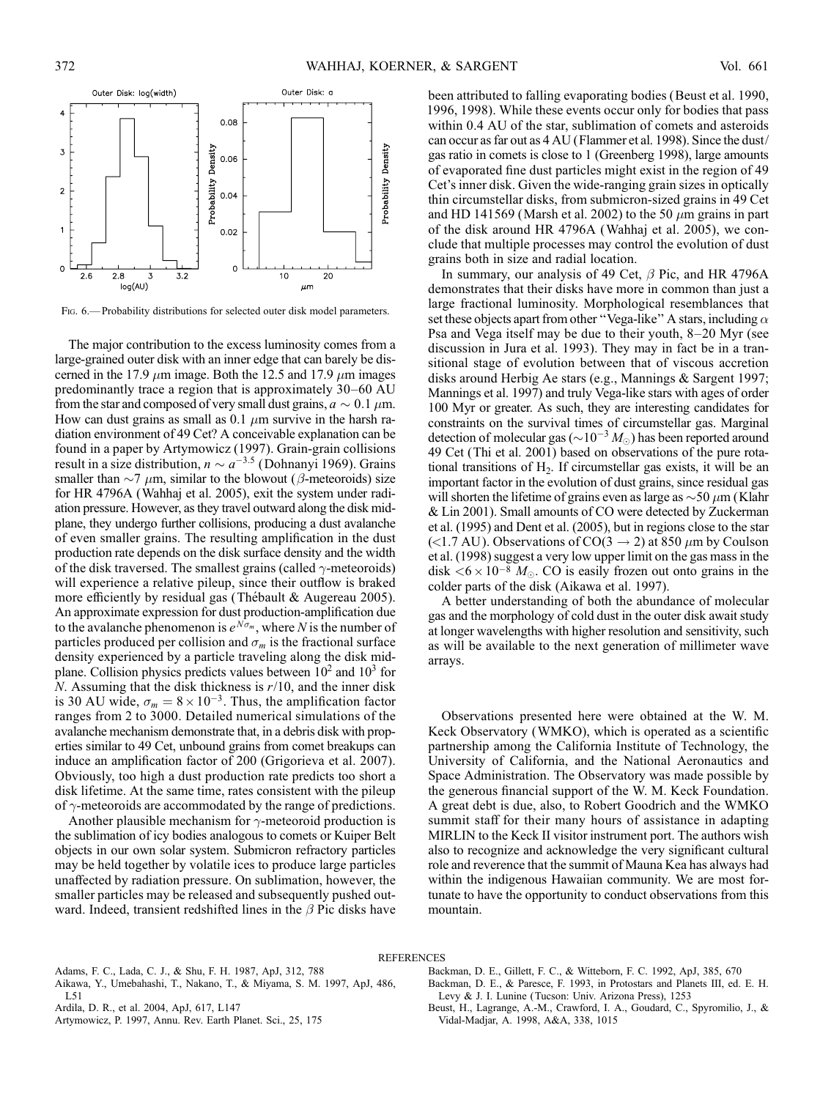

FIG. 6.— Probability distributions for selected outer disk model parameters.

The major contribution to the excess luminosity comes from a large-grained outer disk with an inner edge that can barely be discerned in the 17.9  $\mu$ m image. Both the 12.5 and 17.9  $\mu$ m images predominantly trace a region that is approximately 30–60 AU from the star and composed of very small dust grains,  $a \sim 0.1 \mu$ m. How can dust grains as small as 0.1  $\mu$ m survive in the harsh radiation environment of 49 Cet? A conceivable explanation can be found in a paper by Artymowicz (1997). Grain-grain collisions result in a size distribution,  $n \sim a^{-3.5}$  (Dohnanyi 1969). Grains smaller than  $\sim$ 7  $\mu$ m, similar to the blowout ( $\beta$ -meteoroids) size for HR 4796A (Wahhaj et al. 2005), exit the system under radiation pressure. However, as they travel outward along the disk midplane, they undergo further collisions, producing a dust avalanche of even smaller grains. The resulting amplification in the dust production rate depends on the disk surface density and the width of the disk traversed. The smallest grains (called  $\gamma$ -meteoroids) will experience a relative pileup, since their outflow is braked more efficiently by residual gas (Thébault & Augereau 2005). An approximate expression for dust production-amplification due to the avalanche phenomenon is  $e^{N\sigma_m}$ , where N is the number of particles produced per collision and  $\sigma_m$  is the fractional surface density experienced by a particle traveling along the disk midplane. Collision physics predicts values between  $10<sup>2</sup>$  and  $10<sup>3</sup>$  for  $N$ . Assuming that the disk thickness is  $r/10$ , and the inner disk is 30 AU wide,  $\sigma_m = 8 \times 10^{-3}$ . Thus, the amplification factor ranges from 2 to 3000. Detailed numerical simulations of the avalanche mechanism demonstrate that, in a debris disk with properties similar to 49 Cet, unbound grains from comet breakups can induce an amplification factor of 200 (Grigorieva et al. 2007). Obviously, too high a dust production rate predicts too short a disk lifetime. At the same time, rates consistent with the pileup of  $\gamma$ -meteoroids are accommodated by the range of predictions.

Another plausible mechanism for  $\gamma$ -meteoroid production is the sublimation of icy bodies analogous to comets or Kuiper Belt objects in our own solar system. Submicron refractory particles may be held together by volatile ices to produce large particles unaffected by radiation pressure. On sublimation, however, the smaller particles may be released and subsequently pushed outward. Indeed, transient redshifted lines in the  $\beta$  Pic disks have

been attributed to falling evaporating bodies (Beust et al. 1990, 1996, 1998). While these events occur only for bodies that pass within 0.4 AU of the star, sublimation of comets and asteroids can occur as far out as 4 AU (Flammer et al. 1998). Since the dust/ gas ratio in comets is close to 1 (Greenberg 1998), large amounts of evaporated fine dust particles might exist in the region of 49 Cet's inner disk. Given the wide-ranging grain sizes in optically thin circumstellar disks, from submicron-sized grains in 49 Cet and HD 141569 (Marsh et al. 2002) to the 50  $\mu$ m grains in part of the disk around HR 4796A (Wahhaj et al. 2005), we conclude that multiple processes may control the evolution of dust grains both in size and radial location.

In summary, our analysis of 49 Cet,  $\beta$  Pic, and HR 4796A demonstrates that their disks have more in common than just a large fractional luminosity. Morphological resemblances that set these objects apart from other "Vega-like" A stars, including  $\alpha$ Psa and Vega itself may be due to their youth,  $8-20$  Myr (see discussion in Jura et al. 1993). They may in fact be in a transitional stage of evolution between that of viscous accretion disks around Herbig Ae stars (e.g., Mannings & Sargent 1997; Mannings et al. 1997) and truly Vega-like stars with ages of order 100 Myr or greater. As such, they are interesting candidates for constraints on the survival times of circumstellar gas. Marginal detection of molecular gas ( $\sim 10^{-3} M_{\odot}$ ) has been reported around 49 Cet (Thi et al. 2001) based on observations of the pure rotational transitions of  $H_2$ . If circumstellar gas exists, it will be an important factor in the evolution of dust grains, since residual gas will shorten the lifetime of grains even as large as  $\sim$  50  $\mu$ m (Klahr & Lin 2001). Small amounts of CO were detected by Zuckerman et al. (1995) and Dent et al. (2005), but in regions close to the star (<1.7 AU). Observations of CO(3  $\rightarrow$  2) at 850  $\mu$ m by Coulson et al. (1998) suggest a very low upper limit on the gas mass in the disk  $\lt 6 \times 10^{-8}$  M<sub>o</sub>. CO is easily frozen out onto grains in the colder parts of the disk (Aikawa et al. 1997).

A better understanding of both the abundance of molecular gas and the morphology of cold dust in the outer disk await study at longer wavelengths with higher resolution and sensitivity, such as will be available to the next generation of millimeter wave arrays.

Observations presented here were obtained at the W. M. Keck Observatory (WMKO), which is operated as a scientific partnership among the California Institute of Technology, the University of California, and the National Aeronautics and Space Administration. The Observatory was made possible by the generous financial support of the W. M. Keck Foundation. A great debt is due, also, to Robert Goodrich and the WMKO summit staff for their many hours of assistance in adapting MIRLIN to the Keck II visitor instrument port. The authors wish also to recognize and acknowledge the very significant cultural role and reverence that the summit of Mauna Kea has always had within the indigenous Hawaiian community. We are most fortunate to have the opportunity to conduct observations from this mountain.

#### REFERENCES

Adams, F. C., Lada, C. J., & Shu, F. H. 1987, ApJ, 312, 788

Aikawa, Y., Umebahashi, T., Nakano, T., & Miyama, S. M. 1997, ApJ, 486,  $L51$ 

Ardila, D. R., et al. 2004, ApJ, 617, L147

Artymowicz, P. 1997, Annu. Rev. Earth Planet. Sci., 25, 175

- Backman, D. E., Gillett, F. C., & Witteborn, F. C. 1992, ApJ, 385, 670 Backman, D. E., & Paresce, F. 1993, in Protostars and Planets III, ed. E. H. Levy & J. I. Lunine (Tucson: Univ. Arizona Press), 1253
- Beust, H., Lagrange, A.-M., Crawford, I. A., Goudard, C., Spyromilio, J., & Vidal-Madjar, A. 1998, A&A, 338, 1015